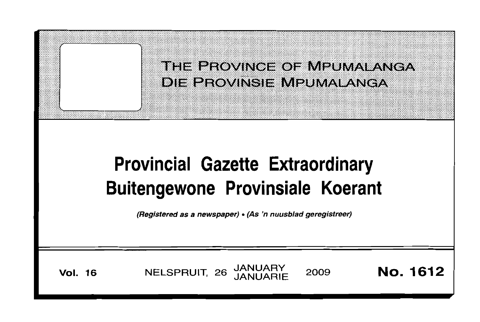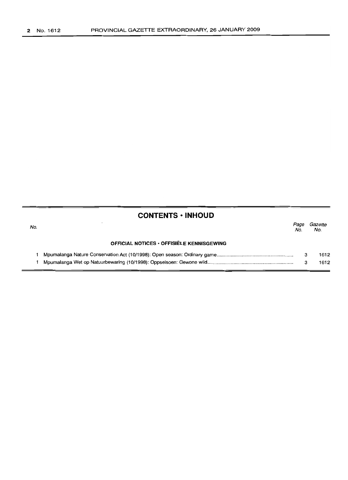# **CONTENTS -INHOUD**

| No. |                                                  | Page<br>No. | Gazette<br>No. |
|-----|--------------------------------------------------|-------------|----------------|
|     | <b>OFFICIAL NOTICES • OFFISIËLE KENNISGEWING</b> |             |                |
|     |                                                  |             | 1612           |
|     |                                                  |             | 1612           |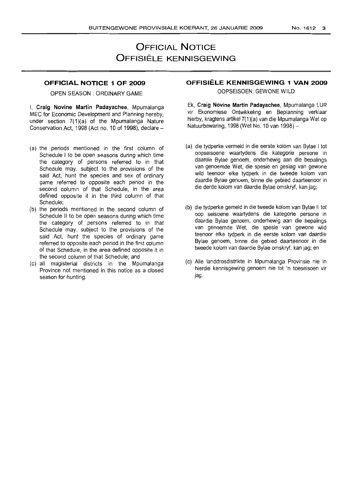# **OFFICIAL NOTICE OFFISIELE KENNISGEWING**

## **OFFICIAL. NOTICE 1 OF 2009**

OPEN SEASON: ORDINARY GAME

I, Craig Novine Martin Padayachee, Mpumalanga MEC for Economic Development and Planning hereby, under section 7(1)(a) of the Mpumalanga Nature Conservation Act, 1998 (Act no. 10 of 1998), declare  $-$ 

- (a) the periods mentioned in the first column of Schedule I to be open seasons during which time the category of persons referred to in that Schedule may, subject to the provisions of the said Act, hunt the species and sex of ordinary game referred to opposite each period in the second column of that Schedule, in the area defined opposite it in the third column of that Schedule;
- (b) the periods mentioned in the second column of Schedule II to be open seasons during which time the category of persons referred to in that Schedule may, subject to the provisions of the said Act, hunt the species of ordinary game referred to opposite each period in the first column of that Schedule, in the area defined opposite it in the second column of that Schedule; and
- (c) all magisterial districts in the Mpumalanga Province not mentioned in this notice as a closed season for hunting.

# **OFFISIELE KENNISGEWING 1 VAN 2009**

OOPSEISOEN: GEWONE WILD

Ek, **Craig Novine Martin Padayachee,** Mpumalanga LUR vir Ekonomiese Ontwikkeling en Beplanning verklaar hierby, kragtens artikel 7(1 )(a) van die Mpumalanga Wet op Natuurbewaring, 1998 (Wet No. 10 van 1998) -

- (a) die tydperke vermeld in die eerste kolom van Bylae I tot oopseisoene waartydens die kategorie persone in daardie Bylae genoem, onderhewig aan die bepalings van genoemde Wet, die spesie en geslag van gewone wild teenoor elke tydperk in die tweede kolom van daardie Bylae genoem, binne die gebied daarteenoor in die derde kolom van daardie Bylae omskryf, kan jag;
- (b) die tydperke gemeld in die tweede kolom van Bylae II tot oop seisoene waartydens die kategorie persone in daardie Bylae genoem, onderhewig aan die bepalings van genoemde Wet, die spesie van gewone wild teenoor elke tydperk in die eerste kolom van daardie Bylae genoem, binne die gebied daarteenoor in die tweede kolom van daardie Bylae omskryf, kan jag; en
- (c) Aile landdrosdistrikte in Mpumalanga Provinsie nie in hierdie kennisgewing genoem nie tot 'n toeseisoen vir jag.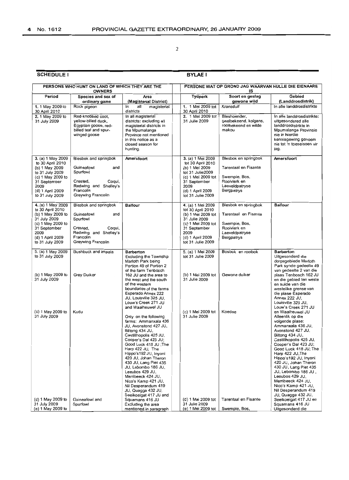## SCHEDULE I

### **BYLAE I**

|                                                                                                                                                                | PERSONS WHO HUNT ON LAND OF WHICH THEY ARE THE<br><b>OWNERS</b>                                                                          |                                                                                                                                                                                                                                                                                                                                                                                                                                                     | PERSONE WAT OP GROND JAG WAARVAN HULLE DIE EIENAARS<br>IS                                                                                                            |                                                                                                               |                                                                                                                                                                                                                                                                                                                                                                                                                                         |  |
|----------------------------------------------------------------------------------------------------------------------------------------------------------------|------------------------------------------------------------------------------------------------------------------------------------------|-----------------------------------------------------------------------------------------------------------------------------------------------------------------------------------------------------------------------------------------------------------------------------------------------------------------------------------------------------------------------------------------------------------------------------------------------------|----------------------------------------------------------------------------------------------------------------------------------------------------------------------|---------------------------------------------------------------------------------------------------------------|-----------------------------------------------------------------------------------------------------------------------------------------------------------------------------------------------------------------------------------------------------------------------------------------------------------------------------------------------------------------------------------------------------------------------------------------|--|
| Period                                                                                                                                                         | Species and sex of<br>ordinary game                                                                                                      | Area<br>(Magisterial District)                                                                                                                                                                                                                                                                                                                                                                                                                      | Tydperk                                                                                                                                                              | Soort en geslag<br>gewone wild                                                                                | Gebied<br>(Landdrosdistrik)                                                                                                                                                                                                                                                                                                                                                                                                             |  |
| 1. 1 May 2009 to<br>30 April 2010                                                                                                                              | Rock pigeon                                                                                                                              | magisterial<br>in<br>all<br>districts                                                                                                                                                                                                                                                                                                                                                                                                               | 1. 1 Mei 2009 tot<br>30 April 2010                                                                                                                                   | Kransduif                                                                                                     | In alle landdrosdistrikte                                                                                                                                                                                                                                                                                                                                                                                                               |  |
| 2. 1 May 2009 to<br>31 July 2009                                                                                                                               | Red-knobbed coot.<br>yellow-billed duck,<br>Egyptian goose, red-<br>billed teal and spur-<br>winged goose                                | In all magisterial<br>districts: excluding all<br>magisterial districts in<br>the Mpumalanga<br>Province not mentioned<br>in this notice as a<br>closed season for<br>hunting.                                                                                                                                                                                                                                                                      | 2. 1 Mei 2009 tot<br>31 Julie 2009                                                                                                                                   | Bleshoender,<br>geelbekeend, kolgans,<br>rooibekeend en wilde<br>makou                                        | In alle landdrosdistrikte:<br>uitgesondered alle<br>landdrosdistrikte in<br>Mpumalanga Provinsie<br>nie in hierdie<br>kennisgewing genoem<br>nie tot 'n toeseisoen vir<br>jag.                                                                                                                                                                                                                                                          |  |
| 3. (a) 1 May 2009<br>to 30 April 2010<br>(b) 1 May 2009<br>to 31 July 2009<br>(c) 1 May 2009 to<br>31 September<br>2009<br>(d) 1 April 2009<br>to 31 July 2009 | Blesbok and springbok<br>Guineafowl<br>and<br>Spurfowl<br>Crested.<br>Coqui,<br>Redwing and Shelley's<br>Francolin<br>Greywing Francolin | Amersfoort                                                                                                                                                                                                                                                                                                                                                                                                                                          | 3. (a) 1 Mei 2009<br>tot 30 April 2010<br>(b) 1 Mei 2009<br>tot 31 Julie2009<br>(c) 1 Mei 2009 tot<br>31 September<br>2009<br>(d) 1 April 2009<br>tot 31 Julie 2009  | Blesbok en springbok<br>Tarentaal en Fisante<br>Swempie, Bos,<br>Rooivierk en<br>Laeveldpatryse<br>Bergpatrys | Amersfoort                                                                                                                                                                                                                                                                                                                                                                                                                              |  |
| 4. (a) 1 May 2009<br>to 30 April 2010<br>(b) 1 May 2009 to<br>31 July 2009<br>(c) 1 May 2009 to<br>31 September<br>2009<br>(d) 1 April 2009<br>to 31 July 2009 | Blesbok and springbok<br>Guineafowl<br>and<br>Spurfowl<br>Cogui,<br>Crested,<br>Redwing and Shelley's<br>Francolin<br>Greywing Francolin | <b>Balfour</b>                                                                                                                                                                                                                                                                                                                                                                                                                                      | 4. (a) 1 Mei 2009<br>tot 30 April 2010<br>(b) 1 Mei 2009 tot<br>31 Julie 2009<br>(c) 1 Mei 2009 tot<br>31 September<br>2009<br>(d) 1 April 2009<br>tot 31 Julie 2009 | Blesbok en springbok<br>Tarentaal en Fisante<br>Swempie, Bos,<br>Rooivlerk en<br>Laeveldpatryse<br>Bergpatrys | <b>Balfour</b>                                                                                                                                                                                                                                                                                                                                                                                                                          |  |
| 5. (a) 1 May 2009<br>to 31 July 2009<br>(b) 1 May 2009 to<br>31 July 2009<br>(c) 1 May 2009 to<br>31 July 2009                                                 | Bushbuck and impala<br>Grey Duiker<br>Kudu                                                                                               | Barberton<br>Excluding the Township<br>Marloth Park being<br>Portion 49 of Portion 2<br>of the farm Tenbosch<br>162 JU and the area to<br>the west and the south<br>of the western<br>boundaries of the farms<br>Esperado Annex 222<br>JU, Louisville 325 JU,<br>Louw's Creek 271 JU<br>and Waaiheuwel JU<br>Only on the following<br>farms: Ammanxala 436                                                                                          | 5. (a) 1 Mei 2009<br>tot 31 Julie 2009<br>(b) 1 Mei 2009 tot<br>31 Julie 2009<br>(c) 1 Mei 2009 tot<br>31 Julie 2009                                                 | Bosbok en rooibok<br>Gewone duiker<br>Koedoe                                                                  | <b>Barberton</b><br>Uitgesonderd die<br>dorpsgebiede Marloth<br>Park synde gedeelte 49<br>van gedeelte 2 van die<br>plaas Tenbosch 162 JU<br>en die gebied ten weste<br>en suide van die<br>westelike grense van<br>die plase Esperado<br>Annex 222 JU,<br>Louisville 325 JU,<br>Louw's Creek 271 JU<br>en Waaiheuwel JU<br>Alleenlik op die<br>volgende plase:                                                                         |  |
| (d) 1 May 2009 to<br>31 July 2009<br>(e) 1 May 2009 to                                                                                                         | Guineafowl and<br>Spurfowl                                                                                                               | JU, Avonstond 427 JU,<br>Biltong 434 JU,<br>Castillhopolis 425 JU,<br>Cooper's Dal 423 JU;<br>Good Luck 418 JU ; The<br>Harp 422 JU, The<br>Hippo's192 JU, Inyoni<br>420 JU, Johan Theron<br>430 JU, Lang Piet 435<br>JU, Lebombo 186 JU,<br>Leeubos 429 JU.<br>Merribeeck 424 JU,<br>Nico's Kamp 421 JU,<br>Nil Desperandum 419<br>JU, Quagga 432 JU,<br>Seeikoeigat 417 JU and<br>Squamans 416 JU<br>Excluding the area<br>mentioned in paragraph | (d) 1 Mei 2009 tot<br>31 Julie 2009<br>(e) 1 Mei 2009 tot                                                                                                            | Tarentaal en Fisante<br>Swempie, Bos,                                                                         | Ammanxala 436 JU,<br>Avonstond 427 JU.<br>Biltong 434 JU,<br>Castillhopolis 425 JU,<br>Cooper's Dal 423 JU;<br>Good Luck 418 JU; The<br>Harp 422 JU, The<br>Hippo's192 JU, inyoni<br>420 JU, Johan Theron<br>430 JU, Lang Piet 435<br>JU, Lebombo 186 JU ,<br>Leeubos 429 JU,<br>Merribeeck 424 JU,<br>Nico's Kamp 421 JU,<br>Nil Desperandum 419<br>JU, Quagga 432 JU,<br>Seeikoeigat 417 JU en<br>Squamans 416 JU<br>Uitgesonderd die |  |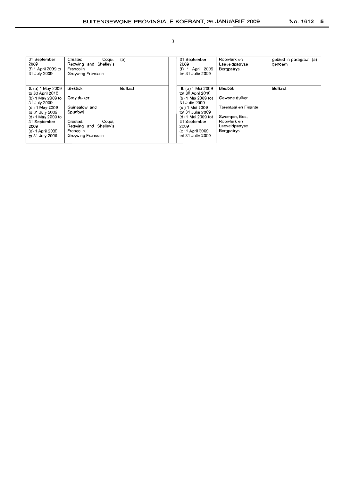| 31 September<br>2009<br>(f) 1 April 2009 to<br>31 July 2009                                           | Crested,<br>Cogui,<br>Redwing and Shelley's<br>Francolin<br>Greywing Francolin             | (a)            | 31 September<br>2009<br>(f) 1 April 2009<br>tot 31 Julie 2009                                            | Rooivlerk en<br>Laeveldpatryse<br><b>Bergpatrys</b>           | gebied in paragraaf (a)<br>genoem |
|-------------------------------------------------------------------------------------------------------|--------------------------------------------------------------------------------------------|----------------|----------------------------------------------------------------------------------------------------------|---------------------------------------------------------------|-----------------------------------|
| $6. (a) 1$ May 2009                                                                                   | <b>Blesbok</b>                                                                             | <b>Belfast</b> | $6. (a) 1$ Mei 2009                                                                                      | <b>Blesbok</b>                                                | <b>Belfast</b>                    |
| to 30 April 2010<br>(b) 1 May 2009 to<br>31 July 2009                                                 | Grey duiker                                                                                |                | tot 30 April 2010<br>(b) 1 Mei 2009 tot<br>31 Julie 2009                                                 | Gewone duiker                                                 |                                   |
| (c) 1 May 2009                                                                                        | Guineafowl and                                                                             |                | (c) 1 Mei 2009                                                                                           | Tarentaal en Fisante                                          |                                   |
| to 31 July 2009<br>(d) $1$ May 2009 to<br>31 September<br>2009<br>(e) 1 April 2009<br>to 31 July 2009 | Spurfowl<br>Crested.<br>Cogui.<br>Redwing and Shelley's<br>Francolin<br>Greywing Francolin |                | tot 31 Julie 2009<br>(d) 1 Mei 2009 tot<br>31 September<br>2009<br>(e) 1 April 2009<br>tot 31 Julie 2009 | Swempie, Bos,<br>Rooivlerk en<br>Laeveldpatryse<br>Bergpatrys |                                   |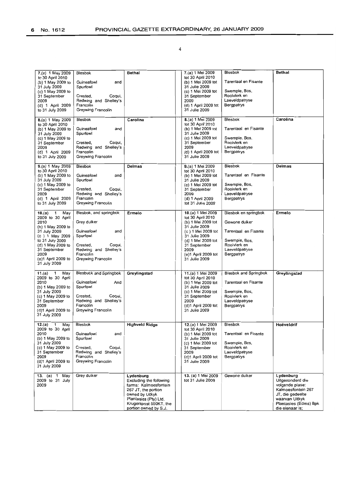| 7.(a) 1 May 2009<br>to 30 April 2010<br>(b) 1 May 2009 to<br>31 July 2009<br>(c) 1 May 2009 to<br>31 September<br>2009<br>(d) 1 April 2009<br>to 31 July 2009                                               | Blesbok<br>Guineafowl<br>and<br>Spurfowl<br>Crested,<br>Coqui,<br>Redwing and Shelley's<br>Francolin<br>Greywing Francolin                               | Bethal                                                                                                                                                                              | 7.(a) 1 Mei 2009<br>tot 30 April 2010<br>(b) 1 Mei 2009 tot<br>31 Julie 2009<br>(c) 1 Mei 2009 tot<br>31 September<br>2009<br>(d) 1 April 2009 tot<br>31 Julie 2009                                        | Blesbok<br>Tarentaal en Fisante<br>Swempie, Bos.<br>Rooivlerk en<br>Laeveldpatryse<br>Bergpatrys                               | Bethai                                                                                                                                                   |
|-------------------------------------------------------------------------------------------------------------------------------------------------------------------------------------------------------------|----------------------------------------------------------------------------------------------------------------------------------------------------------|-------------------------------------------------------------------------------------------------------------------------------------------------------------------------------------|------------------------------------------------------------------------------------------------------------------------------------------------------------------------------------------------------------|--------------------------------------------------------------------------------------------------------------------------------|----------------------------------------------------------------------------------------------------------------------------------------------------------|
| 8.(a) 1 May 2009<br>to 30 April 2010<br>(b) 1 May 2009 to<br>31 July 2009<br>(c) 1 May 2009 to<br>31 September<br>2009<br>(d) 1 April 2009<br>to 31 July 2009                                               | <b>Blesbok</b><br>Guineafowl<br>and<br>Spurfowl<br>Coqui,<br>Crested,<br>Redwing and Shelley's<br>Francolin<br>Greywing Francolin                        | Carolina                                                                                                                                                                            | 8.(a) 1 Mei 2009<br>tot 30 April 2010<br>(b) 1 Mei 2009 tot<br>31 Julie 2009<br>(c) 1 Mei 2009 tot<br>31 September<br>2009<br>(d) 1 April 2009 tot<br>31 Julie 2009                                        | <b>Blesbok</b><br>Tarentaal en Fisante<br>Swempie, Bos,<br>Rooivlerk en<br>Laeveldpatryse<br>Bergpatrys                        | Carolina                                                                                                                                                 |
| 9.(a) 1 May 2009<br>to 30 April 2010<br>(b) 1 May 2009 to<br>31 July 2009<br>(c) 1 May 2009 to<br>31 September<br>2009<br>(d) 1 April 2009<br>to 31 July 2009                                               | Blesbok<br>Guineafowl<br>and<br>Spurfowl<br>Crested,<br>Cogui,<br>Redwing and Shelley's<br>Francolin<br>Greywing Francolin                               | Delmas                                                                                                                                                                              | $9.(a) 1$ Mei 2009<br>tot 30 April 2010<br>(b) 1 Mei 2009 tot<br>31 Julie 2009<br>(c) 1 Mei 2009 tot<br>31 September<br>2009<br>(d) 1 April 2009<br>tot 31 Julie 2009                                      | <b>Biesbok</b><br>Tarentaal en Fisante<br>Swempie, Bos,<br>Rooivlerk en<br>Laeveldpatryse<br>Bergpatrys                        | Delmas                                                                                                                                                   |
| 1<br>May<br>10.(a)<br>2009 to 30 April<br>2010<br>(b) 1 May 2009 to<br>31 July 2009<br>(c) 1 May 2009<br>to 31 July 2009<br>(d) 1 May 2009 to<br>31 September<br>2009<br>(e)1 April 2009 to<br>31 July 2009 | Blesbok, and springbok<br>Grey duiker<br>Guineafowl<br>and<br>Spurfowl<br>Crested,<br>Coqui,<br>Redwing and Shelley's<br>Francolin<br>Greywing Francolin | Ermelo                                                                                                                                                                              | 10.(a) 1 Mei 2009<br>tot 30 April 2010<br>(b) 1 Mei 2009 tot<br>31 Julie 2009<br>(c) 1 Mei 2009 tot<br>31 Julie 2009<br>(d) 1 Mei 2009 tot<br>31 September<br>2009<br>(e)1 April 2009 tot<br>31 Julie 2009 | Blesbok en springbok<br>Gewone duiker<br>Tarentaal en Fisante<br>Swempie, Bos,<br>Rooivlerk en<br>Laeveldpatryse<br>Bergpatrys | Ermelo                                                                                                                                                   |
| 11.(a) $1$<br>May<br>2009 to 30 April<br>2010<br>(b) 1 May 2009 to<br>31 July 2009<br>(c) 1 May 2009 to<br>31 September<br>2009<br>(d)1 April 2009 to<br>31 July 2009                                       | Blesbuck and Springbok<br>Guineafowl<br>And<br>Spurfowl<br>Crested,<br>Coqui,<br>Redwing and Shelley's<br>Francolin<br>Greywing Francolin                | Greylingstad                                                                                                                                                                        | 11.(a) 1 Mei 2009<br>tot 30 April 2010<br>(b) 1 Mei 2009 tot<br>31 Julie 2009<br>(c) 1 Mei 2009 tot<br>31 September<br>2009<br>(d)1 April 2009 tot<br>31 Julie 2009                                        | <b>Blesbok and Springbok</b><br>Tarentaal en Fisante<br>Swempie, Bos,<br>Rooivlerk en<br>Laeveldpatryse<br>Bergpatrys          | Greylingstad                                                                                                                                             |
| May<br>12.(a)<br>1<br>2009 to 30 April<br>2010<br>(b) 1 May 2009 to<br>31 July 2009<br>(c) 1 May 2009 to<br>31 September<br>2009<br>(d)1 April 2009 to<br>31 July 2009                                      | Blesbok<br>Guineafowl<br>and<br>Spurfowl<br>Crested,<br>Coqui,<br>Redwing and Shelley's<br>Francolin<br>Greywing Francolin                               | <b>Highveld Ridge</b>                                                                                                                                                               | 12.(a) 1 Mei 2009<br>tot 30 April 2010<br>(b) 1 Mei 2009 tot<br>31 Julie 2009<br>(c) 1 Mei 2009 tot<br>31 September<br>2009<br>(d)1 April 2009 tot<br>31 Julie 2009                                        | <b>Blesbok</b><br>Tarentaal en Fisante<br>Swempie, Bos,<br>Rooivlerk en<br>Laeveldpatryse<br>Bergpatrys                        | Hoëveldrif                                                                                                                                               |
| 13. (a) 1 May<br>2009 to 31 July<br>2009                                                                                                                                                                    | Grey duiker                                                                                                                                              | Lydenburg<br>Excluding the following<br>farms: Kalmoesfontein<br>267 JT, the portion<br>owned by Uitkyk<br>Plantasies (Pty) Ltd,<br>Krugerspost 550KT, the<br>portion owned by S.J. | 13. (a) 1 Mei 2009<br>tot 31 Julie 2009                                                                                                                                                                    | Gewone duiker                                                                                                                  | Lydenburg<br>Uitgesonderd die<br>volgende plase:<br>Kalmoesfontein 267<br>JT, die gedeelte<br>waarvan Uitkyk<br>Plantasies (Edms) Bpk<br>die eienaar is; |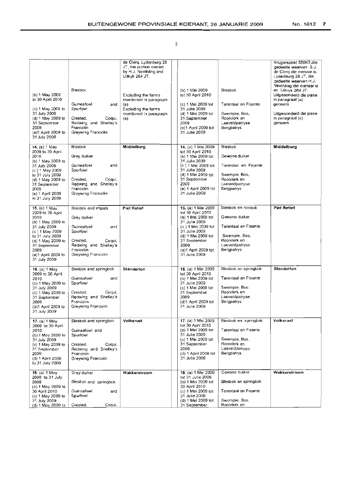|   | N. |  |  |
|---|----|--|--|
|   |    |  |  |
|   |    |  |  |
| ٠ | ۰  |  |  |
|   |    |  |  |

| (b) 1 May 2009<br>to 30 April 2010<br>(c) 1 May 2009 to<br>31 July 2009<br>(d) 1 May 2009 to<br>31 September<br>2009<br>(e)1 April 2009 to<br>31 July 2009                                              | Biesbok<br>Guineafowl<br>and<br>Spurfowl<br>Coqui,<br>Crested,<br>Redwing and Shelley's<br>Francolin<br>Greywing Francolin                           | de Clerq, Lydenburg 28<br>JT, the portion owned<br>by H.J. Neethling and<br>Uitkyk 264 JT.<br>Excluding the farms<br>mentioned in paragraph<br>(a)<br>Excluding the farms<br>mentioned in paragraph<br>(a) | (b) 1 Mei 2009<br>tot 30 April 2010<br>(c) 1 Mei 2009 tot<br>31 Julie 2009<br>(d) 1 Mei 2009 tot<br>31 September<br>2009<br>$(e)1$ April 2009 tot<br>31 Julie 2009                                            | Blesbok<br>Tarentaal en Fisante<br>Swempie, Bos,<br>Rooivierk en<br>Laeveldpatryse<br>Bergpatrys                             | Krugerspost 550KT,die<br>gedeelte waarvan S.J.<br>de Clerq die eienaar is;<br>Lydenburg 28 JT, die<br>gedeelte waarvan H.J.<br>Neethling die eienaar is<br>en Uitkyk 264 JT.<br>Uitgesonderd die plase<br>in paragraaf (a)<br>genoem<br>Uitgesonderd die plase<br>in paragraaf (a)<br>genoem |
|---------------------------------------------------------------------------------------------------------------------------------------------------------------------------------------------------------|------------------------------------------------------------------------------------------------------------------------------------------------------|------------------------------------------------------------------------------------------------------------------------------------------------------------------------------------------------------------|---------------------------------------------------------------------------------------------------------------------------------------------------------------------------------------------------------------|------------------------------------------------------------------------------------------------------------------------------|----------------------------------------------------------------------------------------------------------------------------------------------------------------------------------------------------------------------------------------------------------------------------------------------|
| 14. (a) 1 May<br>2009 to 30 April<br>2010<br>(b) 1 May 2009 to<br>31 July 2009<br>(c) 1 May 2009<br>to 31 July 2009<br>(d) 1 May 2009 to<br>31 September<br>2009<br>(e) 1 April 2009<br>to 31 July 2009 | Blesbok<br>Grey duiker<br>Guineafowl<br>and<br>Spurfowi<br>Coqui,<br>Crested.<br>Redwing and Shelley's<br>Francolin<br>Greywing Francolin            | Middelburg                                                                                                                                                                                                 | 14. (a) 1 Mei 2009<br>tot 30 April 2010<br>(b) 1 Mei 2009 tot<br>31 Julie 2009<br>(c) 1 Mei 2009 tot<br>31 Julie 2009<br>(d) 1 Mei 2009 tot<br>31 September<br>2009<br>(e) 1 April 2009 tot<br>31 Julie 2009  | <b>Blesbok</b><br>Gewone duiker<br>Tarentaal en Fisante<br>Swempie, Bos,<br>Rooivlerk en<br>Laeveldpatryse<br>Bergpatrys     | Middelburg                                                                                                                                                                                                                                                                                   |
| 15. (a) 1 May<br>2009 to 30 April<br>2010<br>(b) 1 May 2009 to<br>31 July 2009<br>(c) 1 May 2009<br>to 31 July 2009<br>(d) 1 May 2009 to<br>31 September<br>2009<br>(e)1 April 2009 to<br>31 July 2009  | Blesbok and impala<br>Grey duiker<br>Guineafowl<br>and<br>Spurfowl<br>Coqui,<br>Crested,<br>Redwing and Shelley's<br>Francolin<br>Greywing Francolin | <b>Piet Retief</b>                                                                                                                                                                                         | 15. (a) 1 Mei 2009<br>tot 30 April 2010<br>(b) 1 Mei 2009 tot<br>31 Julie 2009<br>(c) 1 Mei 2009 tot<br>31 Julie 2009<br>(d) 1 Mei 2009 tot<br>31 September<br>2009<br>$(e)1$ April 2009 tot<br>31 Julie 2009 | Blesbok en rooibok<br>Gewone duiker<br>Tarentaal en Fisante<br>Swempie, Bos,<br>Rooivlerk en<br>Laeveldpatryse<br>Bergpatrys | <b>Piet Retief</b>                                                                                                                                                                                                                                                                           |
| 16. (a) 1 May<br>2009 to 30 April<br>2010<br>(b) 1 May 2009 to<br>31 July 2009<br>(c) 1 May 2009 to<br>31 September<br>2009<br>(d)1 April 2009 to<br>31 July 2009                                       | Blesbok and springbok<br>Guineafowl<br>and<br>Spurfowl<br>Coqui,<br>Crested,<br>Redwing and Shelley's<br>Francolin<br>Greywing Francolin             | Standerton                                                                                                                                                                                                 | 16. (a) 1 Mei 2009<br>tot 30 April 2010<br>(b) 1 Mei 2009 tot<br>31 Julie 2009<br>(c) 1 Mei 2009 tot<br>31 September<br>2009<br>(d)1 April 2009 tot<br>31 Julie 2009                                          | Blesbok en springbok<br>Tarentaal en Fisante<br>Swempie, Bos.<br>Rooivlerk en<br>Laeveldpatryse<br>Bergpatrys                | Standerton                                                                                                                                                                                                                                                                                   |
| 17. (a) 1 May<br>2009 to 30 April<br>2010<br>(b) 1 May 2009 to<br>31 July 2009<br>(c) 1 May 2009 to<br>31 September<br>2009<br>(d) 1 April 2009<br>to 31 July 2009                                      | Blesbok and springbok<br>Guineafowl and<br>Spurfowl<br>Crested,<br>Coqui,<br>Redwing and Shelley's<br>Francolin<br>Greywing Francolin                | Volksrust                                                                                                                                                                                                  | 17. (a) 1 Mei 2009<br>tot 30 April 2010<br>(b) 1 Mei 2009 tot<br>31 Julie 2009<br>(c) 1 Mei 2009 tot<br>31 September<br>2009<br>(d) 1 April 2009 tot<br>31 Julie 2009                                         | Blesbok en springbok<br>Tarentaal en Fisante<br>Swempie, Bos,<br>Rooivlerk en<br>Laeveldpatryse<br>Bergpatrys                | Volksrust                                                                                                                                                                                                                                                                                    |
| 18. (a) $1$ May<br>2009 to 31 July<br>2009<br>(b) $1$ May 2009 to<br>30 April 2010<br>(c) 1 May 2009 to<br>31 July 2009<br>(d) 1 May 2009 to                                                            | Grey duiker<br>Blesbok and springbok<br>Guineafowl<br>and<br>Spurfowl<br>Crested,<br>Coqui,                                                          | Wakkerstroom                                                                                                                                                                                               | 18. (a) 1 Mei 2009<br>tot 31 Julie 2009<br>(b) 1 Mei 2009 tot<br>30 April 2010<br>(c) 1 Mei 2009 tot<br>31 Julie 2009<br>(d) 1 Mei 2009 tot<br>31 September                                                   | Gewone duiker<br>Blesbok en springbok<br>Tarentaal en Fisante<br>Swempie, Bos,<br>Rooivierk en                               | Wakkerstroom                                                                                                                                                                                                                                                                                 |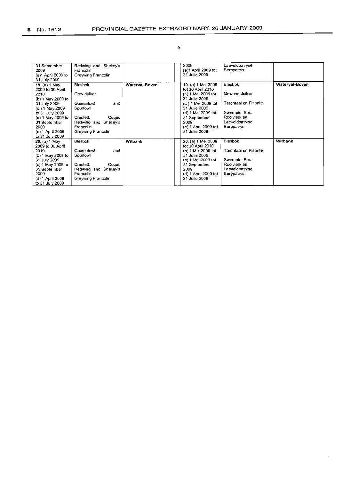| 31 September<br>2009<br>(e)1 April 2009 to<br>31 July 2009                                                                                                                                              | Redwing and Shelley's<br>Francolin<br>Greywing Francolin                                                                                     |                | 2009<br>(e)1 April 2009 tot<br>31 Julie 2009                                                                                                                                                                   | Laeveldpatryse<br>Bergpatrys                                                                                      |                |
|---------------------------------------------------------------------------------------------------------------------------------------------------------------------------------------------------------|----------------------------------------------------------------------------------------------------------------------------------------------|----------------|----------------------------------------------------------------------------------------------------------------------------------------------------------------------------------------------------------------|-------------------------------------------------------------------------------------------------------------------|----------------|
| 19. (a) 1 May<br>2009 to 30 April<br>2010<br>(b) 1 May 2009 to<br>31 July 2009<br>(c) 1 May 2009<br>to 31 July 2009<br>(d) 1 May 2009 to<br>31 September<br>2009<br>(e) 1 April 2009<br>to 31 July 2009 | Blesbok<br>Grey duiker<br>Guineafowl<br>and<br>Spurfowl<br>Crested.<br>Cogui,<br>Shelley's<br>Redwing and<br>Francolin<br>Greywing Francolin | Waterval-Boven | 19. (a) 1 Mei 2009<br>tot 30 April 2010<br>(b) 1 Mei 2009 tot<br>31 Julie 2009<br>(c) 1 Mei 2009 tot<br>31 Julie 2009<br>(d) 1 Mei 2009 tot<br>31 September<br>2009<br>$(e)$ 1 April 2009 tot<br>31 Julie 2009 | Blesbok<br>Gewone duiker<br>Tarentaal en Fisante<br>Swempie, Bos,<br>Rooivierk en<br>Laeveldpatryse<br>Bergpatrys | Waterval-Boven |
| 20. (a) 1 May<br>2009 to 30 April<br>2010<br>(b) 1 May 2009 to<br>31 July 2009<br>(c) 1 May 2009 to<br>31 September<br>2009<br>(d) 1 April 2009<br>to 31 July 2009                                      | <b>Blesbok</b><br>Guineafowl<br>and<br>Spurfowl<br>Crested.<br>Coqui,<br>Shelley's<br>Redwing and<br>Francolin<br>Greywing Francolin         | Witbank        | 20. (a) 1 Mei 2009<br>tot 30 April 2010<br>(b) 1 Mei 2009 tot<br>31 Julie 2009<br>(c) 1 Mei 2009 tot<br>31 September<br>2009<br>(d) 1 April 2009 tot<br>31 Julie 2009                                          | Blesbok<br>Tarentaal en Fisante<br>Swempie, Bos,<br>Rooivierk en<br>Laeveidpatryse<br>Bergpatrys                  | Witbank        |

 $\ddot{\phantom{a}}$ 

#### 6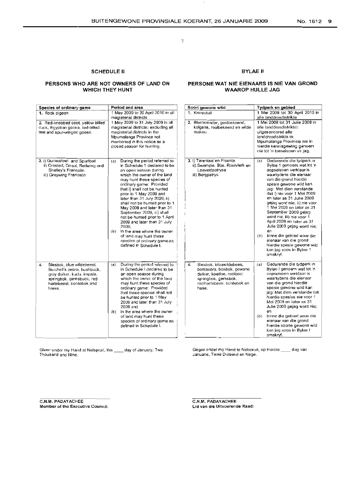#### SCHEDULE II

#### BYLAE II

#### PERSONS WHO ARE NOT OWNERS OF LAND ON WHICH THEY HUNT

#### PERSONE WAT NIE EIENAARS IS NIE VAN GROND WAAROP HULLE JAG

| Species of ordinary game                                                                                                                                       | Period and area                                                                                                                                                                                                                                                                                                                                                                                                                                                                                                                                                                 | Soort gewone wild                                                                                                                                    | Tydperk en gebied                                                                                                                                                                                                                                                                                                                                                                                                                                                                                                                                                              |
|----------------------------------------------------------------------------------------------------------------------------------------------------------------|---------------------------------------------------------------------------------------------------------------------------------------------------------------------------------------------------------------------------------------------------------------------------------------------------------------------------------------------------------------------------------------------------------------------------------------------------------------------------------------------------------------------------------------------------------------------------------|------------------------------------------------------------------------------------------------------------------------------------------------------|--------------------------------------------------------------------------------------------------------------------------------------------------------------------------------------------------------------------------------------------------------------------------------------------------------------------------------------------------------------------------------------------------------------------------------------------------------------------------------------------------------------------------------------------------------------------------------|
| 1. Rock pigeon                                                                                                                                                 | 1 May 2009 to 30 April 2010 in all<br>magisterial districts                                                                                                                                                                                                                                                                                                                                                                                                                                                                                                                     | 1. Kransduif                                                                                                                                         | 1 Mei 2009 tot 30 April 2010 in<br>alle landdrosdistrikte                                                                                                                                                                                                                                                                                                                                                                                                                                                                                                                      |
| 2. Red-knobbed coot, yellow billed<br>duck, Egyptian goose, red-billed<br>teal and spur-winged goose.                                                          | 1 May 2009 to 31 July 2009 in all<br>magisterial districts; excluding all<br>magisterial districts in the<br>Mpumałanga Province not<br>mentioned in this notice as a<br>closed season for hunting.                                                                                                                                                                                                                                                                                                                                                                             | 2. Bleshoender, geelbekeend,<br>kolgans, rooibekeend en wilde<br>makou                                                                               | 1 Mei 2009 tot 31 Julie 2009 in<br>alle landdrosdistrikte:<br>uitgesondered alle<br>landdrosdistrikte in<br>Mpumalanga Provinsie nie in<br>hierdie kennisgewing genoem.<br>nie tot 'n toeseisoen vir jag.                                                                                                                                                                                                                                                                                                                                                                      |
| 3. i) Guineafowl and Spurfowl<br>ii) Crested, Coqui, Redwing and<br>Shefley's Francolin<br>iii) Greywing Francolin                                             | During the period referred to<br>(a)<br>in Schedule 1 declared to be<br>an open season during<br>which the owner of the land<br>may hunt these species of<br>ordinary game: Provided<br>that i) shall not be hunted<br>prior to 1 May 2009 and<br>later than 31 July 2009, ii)<br>shall not be hunted prior to 1<br>May 2009 and later than 31<br>September 2009, iii) shall<br>not be hunted prior to 1 April<br>2009 and later than 31 July<br>2009:<br>in the area where the owner<br>(b)<br>of land may hunt these<br>species of ordinary game as<br>defined in Schedule I. | 3. i) Tarentaal en Fisante<br>ii) Swempie, Bos, Rooivlerk en<br>Laeveldpatryse<br>iii) Bergpatrys                                                    | Gedurende die tydperk in<br>(a)<br>Bylae 1 genoem wat tot 'n<br>oopseisoen verklaar is<br>waartydens die eienaar<br>van die grond hierdie<br>spesie gewone wild kan<br>jag: Met dien verstande<br>dat i) nie voor 1 Mei 2009<br>en later as 31 Julie 2009<br>gejag word nie, ii) nie voor<br>1 Mei 2009 en later as 31<br>September 2009 gejag<br>word nie, iii) nie voor 1<br>April 2009 en later as 31<br>Julie 2009 gejag word nie;<br>en<br>binne die gebied waar die<br>(b)<br>elenaar van die grond<br>hierdie spesie gewone wild<br>kan jag soos in Bylae 1<br>omskryf. |
| Blesbok, blue wildebeest,<br>4.<br>Burchell's zebra, bushbuck,<br>grey duiker, kudu, impala,<br>springbok, gemsbuck, red<br>hartebeest, bontebok and<br>hares. | During the period referred to<br>(a)<br>in Schedule I declared to be<br>an open season during<br>which the owner of the land<br>may hunt these species of<br>ordinary game: Provided<br>that these species shall not<br>be hunted prior to 1 May<br>2009 and later than 31 July<br>2009 and<br>(b) in the area where the owner<br>of land may hunt these<br>species of ordinary game as<br>defined in Schedule 1.                                                                                                                                                               | Blesbok, blouwildebees,<br>4.<br>bontsebra, bosbok, gewone<br>duiker, koedoe, rooibok:<br>springbok, gemsbok,<br>rooihartebees, bontebok en<br>hase. | Gedurende die tydperk in<br>(a)<br>Bylae I genoem wat tot 'n<br>oopseisoen verklaar is<br>waartydens die eienaar<br>van die grond hierdie<br>spesie gewone wild kan<br>jag: Met dien verstande dat<br>hierdie spesies nie voor 1<br>Mei 2009 en later as 31<br>Julie 2009 gejag word nie;<br>en<br>binne die gebied waar die<br>(b)<br>eienaar van die grond<br>hierdie soorte gewone wild<br>kan jag soos in Bylae I<br>omskryf.                                                                                                                                              |

Given under my Hand at Nelspruit, this **\_\_\_\_** day of January, Two<br>Thousand and Nine.

Gegee onder my Hand te Nelspruit, op hierdie \_\_\_ dag van Januarie, Twee Duisend en Neqe.

C.N.M. PADAYACHEE Member of the Executive Council: C.N.M. PADAYACHEE Lid van die Uitvoerende Raad: